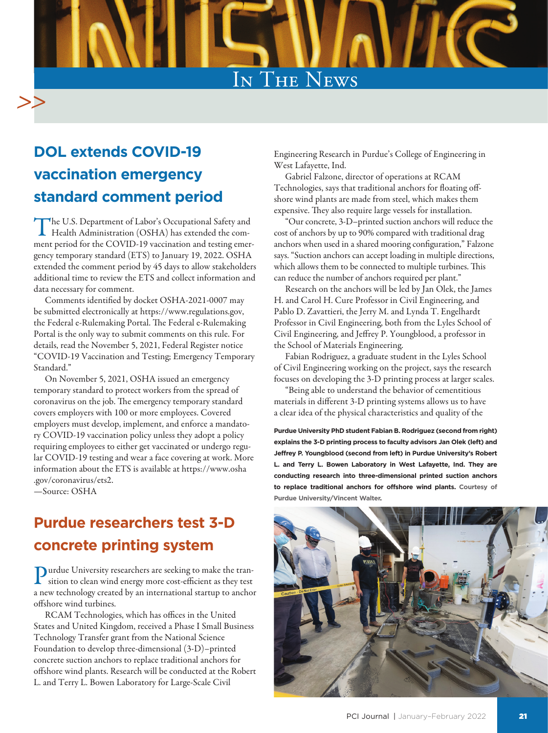

## **DOL extends COVID-19 vaccination emergency standard comment period**

The U.S. Department of Labor's Occupational Safety and Health Administration (OSHA) has extended the comment period for the COVID-19 vaccination and testing emergency temporary standard (ETS) to January 19, 2022. OSHA extended the comment period by 45 days to allow stakeholders additional time to review the ETS and collect information and data necessary for comment.

Comments identified by docket OSHA-2021-0007 may be submitted electronically at https://www.regulations.gov, the Federal e-Rulemaking Portal. The Federal e-Rulemaking Portal is the only way to submit comments on this rule. For details, read the November 5, 2021, Federal Register notice "COVID-19 Vaccination and Testing; Emergency Temporary Standard."

On November 5, 2021, OSHA issued an emergency temporary standard to protect workers from the spread of coronavirus on the job. The emergency temporary standard covers employers with 100 or more employees. Covered employers must develop, implement, and enforce a mandatory COVID-19 vaccination policy unless they adopt a policy requiring employees to either get vaccinated or undergo regular COVID-19 testing and wear a face covering at work. More information about the ETS is available at https://www.osha .gov/coronavirus/ets2.

—Source: OSHA

## **Purdue researchers test 3-D concrete printing system**

Purdue University researchers are seeking to make the tran-sition to clean wind energy more cost-efficient as they test a new technology created by an international startup to anchor offshore wind turbines.

RCAM Technologies, which has offices in the United States and United Kingdom, received a Phase I Small Business Technology Transfer grant from the National Science Foundation to develop three-dimensional (3-D)–printed concrete suction anchors to replace traditional anchors for offshore wind plants. Research will be conducted at the Robert L. and Terry L. Bowen Laboratory for Large-Scale Civil

Engineering Research in Purdue's College of Engineering in West Lafayette, Ind.

Gabriel Falzone, director of operations at RCAM Technologies, says that traditional anchors for floating offshore wind plants are made from steel, which makes them expensive. They also require large vessels for installation.

"Our concrete, 3-D–printed suction anchors will reduce the cost of anchors by up to 90% compared with traditional drag anchors when used in a shared mooring configuration," Falzone says. "Suction anchors can accept loading in multiple directions, which allows them to be connected to multiple turbines. This can reduce the number of anchors required per plant."

Research on the anchors will be led by Jan Olek, the James H. and Carol H. Cure Professor in Civil Engineering, and Pablo D. Zavattieri, the Jerry M. and Lynda T. Engelhardt Professor in Civil Engineering, both from the Lyles School of Civil Engineering, and Jeffrey P. Youngblood, a professor in the School of Materials Engineering.

Fabian Rodriguez, a graduate student in the Lyles School of Civil Engineering working on the project, says the research focuses on developing the 3-D printing process at larger scales.

"Being able to understand the behavior of cementitious materials in different 3-D printing systems allows us to have a clear idea of the physical characteristics and quality of the

**Purdue University PhD student Fabian B. Rodriguez (second from right) explains the 3-D printing process to faculty advisors Jan Olek (left) and Jeffrey P. Youngblood (second from left) in Purdue University's Robert L. and Terry L. Bowen Laboratory in West Lafayette, Ind. They are conducting research into three-dimensional printed suction anchors to replace traditional anchors for offshore wind plants. Courtesy of Purdue University/Vincent Walter.**